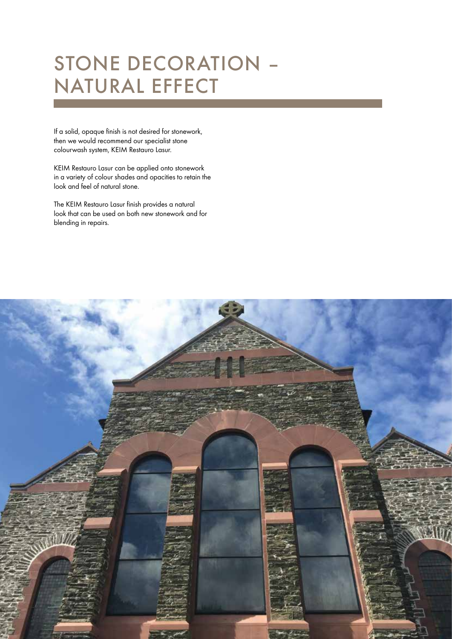# Stone decoration – natural effect

If a solid, opaque finish is not desired for stonework, then we would recommend our specialist stone colourwash system, KEIM Restauro Lasur.

KEIM Restauro Lasur can be applied onto stonework in a variety of colour shades and opacities to retain the look and feel of natural stone.

The KEIM Restauro Lasur finish provides a natural look that can be used on both new stonework and for blending in repairs.

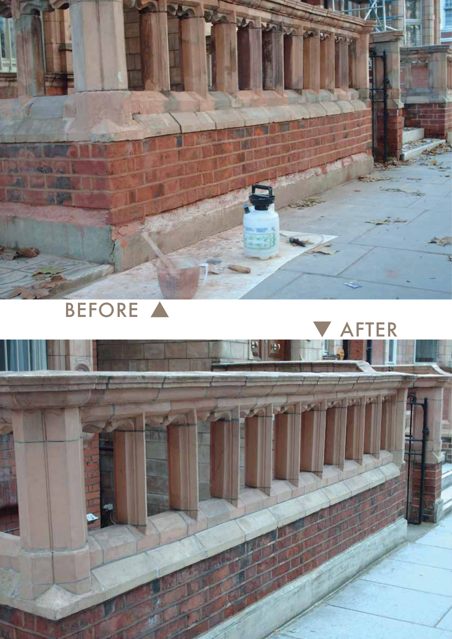

# BEFORE A